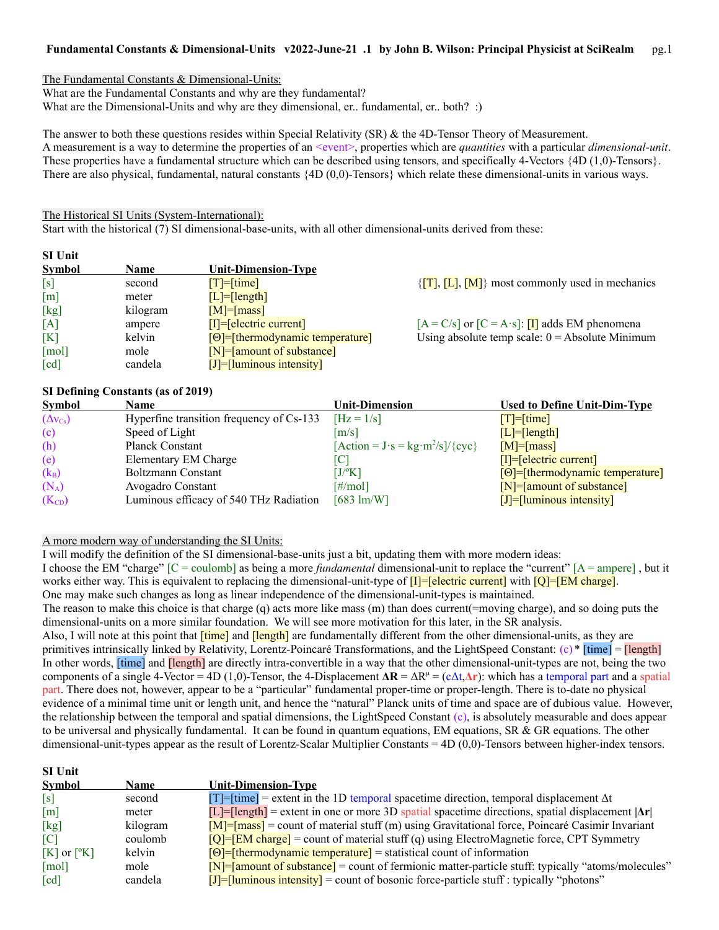The Fundamental Constants & Dimensional-Units:

What are the Fundamental Constants and why are they fundamental?

What are the Dimensional-Units and why are they dimensional, er.. fundamental, er.. both? :)

The answer to both these questions resides within Special Relativity (SR) & the 4D-Tensor Theory of Measurement. A measurement is a way to determine the properties of an <event>, properties which are *quantities* with a particular *dimensional-unit*. These properties have a fundamental structure which can be described using tensors, and specifically 4-Vectors {4D (1,0)-Tensors}. There are also physical, fundamental, natural constants {4D (0,0)-Tensors} which relate these dimensional-units in various ways.

The Historical SI Units (System-International):

Start with the historical (7) SI dimensional-base-units, with all other dimensional-units derived from these:

| <b>SI Unit</b>             |             |                                    |                                                                                              |
|----------------------------|-------------|------------------------------------|----------------------------------------------------------------------------------------------|
| <b>Symbol</b>              | <b>Name</b> | <b>Unit-Dimension-Type</b>         |                                                                                              |
| [s]                        | second      | $[T]=[time]$                       | $\{\mathbf{T}, \mathbf{L}, \mathbf{L}\}$ , $\{\mathbf{M}\}\$ most commonly used in mechanics |
| [m]                        | meter       | $[L] = [length]$                   |                                                                                              |
| [kg]                       | kilogram    | $[M] = [mass]$                     |                                                                                              |
| [A]                        | ampere      | $[I] = [electric current]$         | $[A = C/s]$ or $[C = A \cdot s]$ : <b>II</b> adds EM phenomena                               |
| [K]                        | kelvin      | $[Θ]$ =[thermodynamic temperature] | Using absolute temp scale: $0 =$ Absolute Minimum                                            |
| $\lceil \text{mol} \rceil$ | mole        | $[N] =$ [amount of substance]      |                                                                                              |
| $\lceil cd \rceil$         | candela     | $[J] = [luminous intensity]$       |                                                                                              |

### **SI Defining Constants (as of 2019)**

**SI Unit**

| <b>Symbol</b>            | Name                                     | <b>Unit-Dimension</b>                                                               | <b>Used to Define Unit-Dim-Type</b> |
|--------------------------|------------------------------------------|-------------------------------------------------------------------------------------|-------------------------------------|
| $(\Delta v_{\text{Cs}})$ | Hyperfine transition frequency of Cs-133 | $[Hz = 1/s]$                                                                        | $[T] = [time]$                      |
| (c)                      | Speed of Light                           | $\lceil m/s \rceil$                                                                 | $[L] = [length]$                    |
| (h)                      | Planck Constant                          | $[\text{Action} = J \cdot s = \text{kg} \cdot \text{m}^2/\text{s}]/\{\text{cyc}\}\$ | $[M] = [mass]$                      |
| (e)                      | Elementary EM Charge                     |                                                                                     | $[I] = [electric current]$          |
| $(k_B)$                  | <b>Boltzmann Constant</b>                | $[J/{}^{\circ}K]$                                                                   | $[0]$ =[thermodynamic temperature]  |
| $(N_A)$                  | Avogadro Constant                        | $\lceil\#/\text{mol}\rceil$                                                         | $[N] =$ [amount of substance]       |
| $(K_{CD})$               | Luminous efficacy of 540 THz Radiation   | $[683 \text{ lm/W}]$                                                                | $[J]$ =[luminous intensity]         |

#### A more modern way of understanding the SI Units:

I will modify the definition of the SI dimensional-base-units just a bit, updating them with more modern ideas: I choose the EM "charge" [C = coulomb] as being a more *fundamental* dimensional-unit to replace the "current" [A = ampere] , but it works either way. This is equivalent to replacing the dimensional-unit-type of  $[I]$ =[electric current] with  $[Q]$ =[EM charge]. One may make such changes as long as linear independence of the dimensional-unit-types is maintained.

The reason to make this choice is that charge (q) acts more like mass (m) than does current(=moving charge), and so doing puts the dimensional-units on a more similar foundation. We will see more motivation for this later, in the SR analysis. Also, I will note at this point that  $\frac{[time]}{[time]}$  and  $\frac{[length]}{[length]}$  are fundamentally different from the other dimensional-units, as they are

primitives intrinsically linked by Relativity, Lorentz-Poincaré Transformations, and the LightSpeed Constant:  $(c)$  \* [time] = [length] In other words, *[time]* and *[length]* are directly intra-convertible in a way that the other dimensional-unit-types are not, being the two components of a single 4-Vector = 4D (1,0)-Tensor, the 4-Displacement  $\Delta \mathbf{R} = \Delta \mathbf{R}^{\mu} = (c\Delta t, \Delta \mathbf{r})$ : which has a temporal part and a spatial part. There does not, however, appear to be a "particular" fundamental proper-time or proper-length. There is to-date no physical evidence of a minimal time unit or length unit, and hence the "natural" Planck units of time and space are of dubious value. However, the relationship between the temporal and spatial dimensions, the LightSpeed Constant (c), is absolutely measurable and does appear to be universal and physically fundamental. It can be found in quantum equations, EM equations, SR  $\&$  GR equations. The other dimensional-unit-types appear as the result of Lorentz-Scalar Multiplier Constants = 4D (0,0)-Tensors between higher-index tensors.

| эт ошт                   |             |                                                                                                            |
|--------------------------|-------------|------------------------------------------------------------------------------------------------------------|
| <b>Symbol</b>            | <b>Name</b> | <b>Unit-Dimension-Type</b>                                                                                 |
| [s]                      | second      | $[T]$ =[time] = extent in the 1D temporal spacetime direction, temporal displacement $\Delta t$            |
| $\lceil m \rceil$        | meter       | $[L]$ =[length] = extent in one or more 3D spatial spacetime directions, spatial displacement $ \Delta r $ |
| [kg]                     | kilogram    | $[M]$ = $[mass]$ = count of material stuff (m) using Gravitational force, Poincaré Casimir Invariant       |
| $\overline{C}$           | coulomb     | $[Q]$ = $[EM \space change]$ = count of material stuff (q) using ElectroMagnetic force, CPT Symmetry       |
| $[K]$ or $[{}^{\circ}K]$ | kelvin      | $[0]$ =[thermodynamic temperature] = statistical count of information                                      |
| [mol]                    | mole        | $[N]$ = $[amount of substance]$ = count of fermionic matter-particle stuff: typically "atoms/molecules"    |
| $\lceil cd \rceil$       | candela     | $[J]$ =[luminous intensity] = count of bosonic force-particle stuff : typically "photons"                  |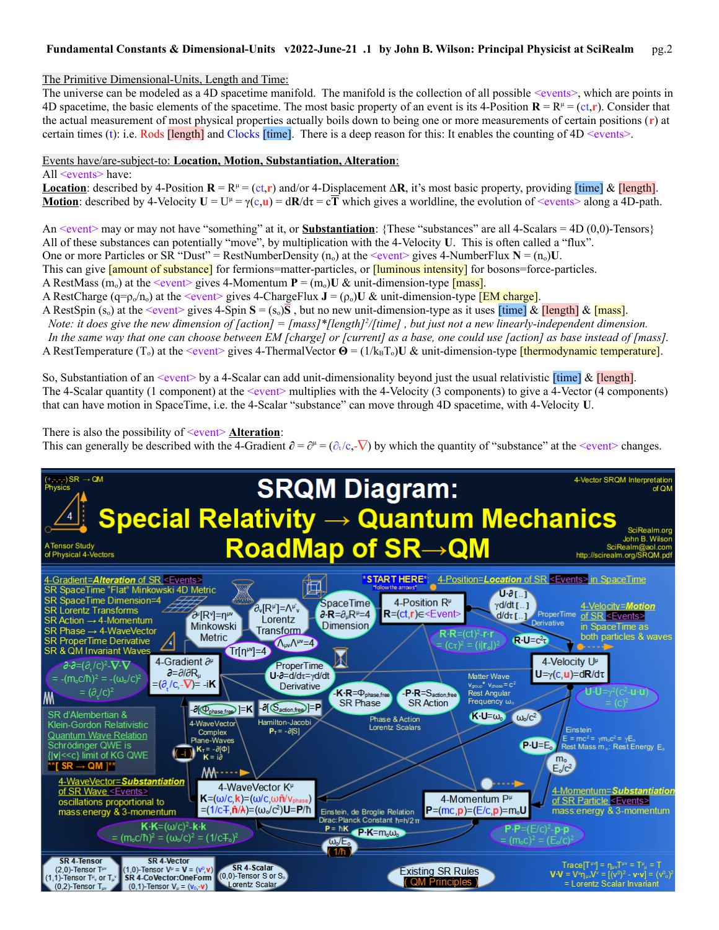# The Primitive Dimensional-Units, Length and Time:

The universe can be modeled as a 4D spacetime manifold. The manifold is the collection of all possible  $\le$ vents $\ge$ , which are points in 4D spacetime, the basic elements of the spacetime. The most basic property of an event is its 4-Position  $\mathbf{R} = \mathbf{R}^{\mu} = (\mathbf{c} \cdot \mathbf{r})$ . Consider that the actual measurement of most physical properties actually boils down to being one or more measurements of certain positions (**r**) at certain times (t): i.e. Rods [length] and Clocks [time]. There is a deep reason for this: It enables the counting of  $4D \le$ vents>.

### Events have/are-subject-to: **Location, Motion, Substantiation, Alteration** :

#### All <events> have:

**Location**: described by 4-Position  $\mathbf{R} = \mathbb{R}^{\mu} = (c\mathbf{t}, \mathbf{r})$  and/or 4-Displacement  $\Delta \mathbf{R}$ , it's most basic property, providing [time] & [length]. **Motion**: described by 4-Velocity  $U = U^{\mu} = \gamma(c, u) = dR/d\tau = c\overline{T}$  which gives a worldline, the evolution of  $\leq$ vents> along a 4D-path.

An  $\le$ event $\ge$  may or may not have "something" at it, or **Substantiation**: {These "substances" are all 4-Scalars = 4D (0,0)-Tensors} All of these substances can potentially "move", by multiplication with the 4-Velocity **U**. This is often called a "flux".

One or more Particles or SR "Dust" = RestNumberDensity  $(n_0)$  at the <event> gives 4-NumberFlux  $N = (n_0)U$ .

This can give **[amount of substance]** for fermions=matter-particles, or **[luminous intensity]** for bosons=force-particles.

A RestMass  $(m_0)$  at the  $\leq$  event> gives 4-Momentum  $P = (m_0)U \& \text{ unit-dimensional-type}$  [mass].

A RestCharge ( $q = \rho_0/n_0$ ) at the <event> gives 4-ChargeFlux  $J = (\rho_0)U \& \text{unit-dimensional-type } [EM \text{ charge}]$ .

A RestSpin  $(s_0)$  at the  $\le$ event> gives 4-Spin  $\mathbf{S} = (s_0)\overline{\mathbf{S}}$ , but no new unit-dimension-type as it uses  $[\text{time}]$  &  $[\text{length}]$  &  $[\text{mass}]$ . *Note: it does give the new dimension of [action]* = [mass]\*[length]<sup>2</sup>/[time], but just not a new linearly-independent dimension.  *In the same way that one can choose between EM [charge] or [current] as a base, one could use [action] as base instead of [mass].* A RestTemperature (T<sub>o</sub>) at the <event> gives 4-ThermalVector **Θ** = (1/k<sub>B</sub>T<sub>o</sub>)U & unit-dimension-type [thermodynamic temperature].

So, Substantiation of an  $\le$ event $\ge$  by a 4-Scalar can add unit-dimensionality beyond just the usual relativistic [time] & [length]. The 4-Scalar quantity (1 component) at the  $\le$ vent $\ge$  multiplies with the 4-Velocity (3 components) to give a 4-Vector (4 components) that can have motion in SpaceTime, i.e. the 4-Scalar "substance" can move through 4D spacetime, with 4-Velocity **U**.

# There is also the possibility of <u><event> Alteration</u>:

This can generally be described with the 4-Gradient  $\partial = \partial^{\mu} = (\partial_t/c, -\nabla)$  by which the quantity of "substance" at the <event> changes.

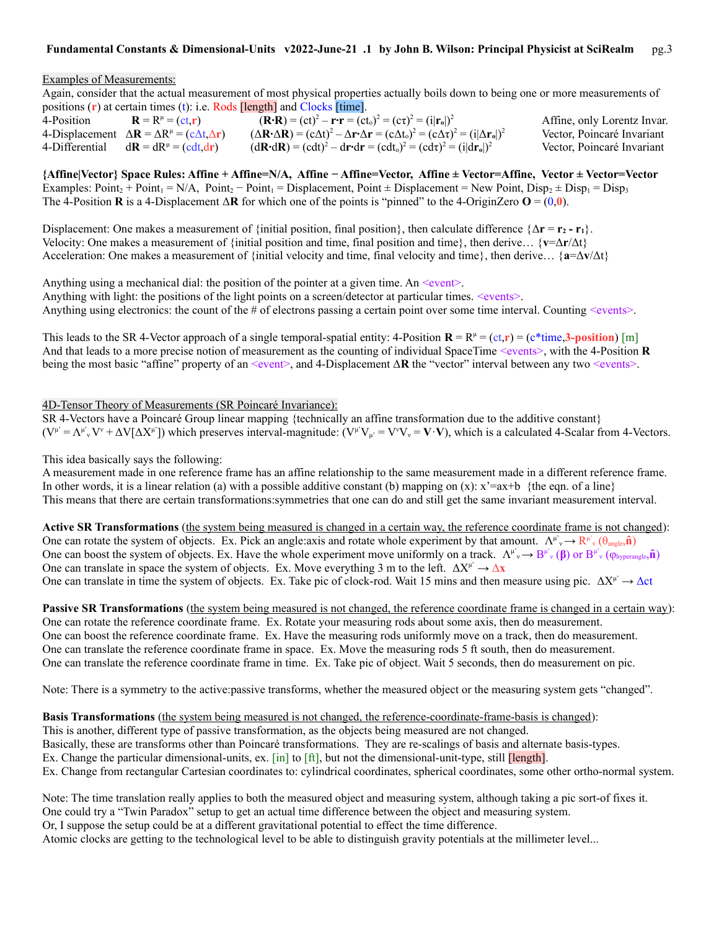### Examples of Measurements:

Again, consider that the actual measurement of most physical properties actually boils down to being one or more measurements of positions (**r**) at certain times (t): i.e. Rods [length] and Clocks [time].

| 4-Position     | $\mathbf{R} = \mathbf{R}^{\mu} = (\mathbf{c}\mathbf{t}, \mathbf{r})$                  | $({\bf R} \cdot {\bf R}) = (ct)^2 - {\bf r} \cdot {\bf r} = (ct_0)^2 = (c\tau)^2 = (i {\bf r}_0 )^2$                                                                                                     | Affine, only Lorentz Invar. |
|----------------|---------------------------------------------------------------------------------------|----------------------------------------------------------------------------------------------------------------------------------------------------------------------------------------------------------|-----------------------------|
|                | 4-Displacement $\Delta \mathbf{R} = \Delta R^{\mu} = (c \Delta t, \Delta \mathbf{r})$ | $(\Delta \mathbf{R} \cdot \Delta \mathbf{R}) = (c \Delta t)^2 - \Delta \mathbf{r} \cdot \Delta \mathbf{r} = (c \Delta t_0)^2 = (c \Delta \tau)^2 = (i  \Delta \mathbf{r}_0 )^2$                          | Vector, Poincaré Invariant  |
| 4-Differential | $d\mathbf{R} = dR^{\mu} = (cdt, dr)$                                                  | $(\mathrm{d}\mathbf{R}\cdot\mathrm{d}\mathbf{R}) = (\mathrm{cdt})^2 - \mathrm{d}\mathbf{r}\cdot\mathrm{d}\mathbf{r} = (\mathrm{cdt}_o)^2 = (\mathrm{cd}\tau)^2 = (\mathrm{i} \mathrm{d}\mathbf{r}_o )^2$ | Vector, Poincaré Invariant  |

**{Affine|Vector} Space Rules: Affine + Affine=N/A, Affine − Affine=Vector, Affine ± Vector=Affine, Vector ± Vector=Vector** Examples:  $Point_2 + Point_1 = N/A$ ,  $Point_2 - Point_1 = Displacement$ ,  $Point \pm Displacement = New Point$ ,  $Disp_2 \pm Disp_1 = Disp_3$ The 4-Position **R** is a 4-Displacement  $\Delta \mathbf{R}$  for which one of the points is "pinned" to the 4-OriginZero  $\mathbf{O} = (0,0)$ .

Displacement: One makes a measurement of {initial position, final position}, then calculate difference  $\{\Delta \mathbf{r} = \mathbf{r}_2 - \mathbf{r}_1\}$ . Velocity: One makes a measurement of {initial position and time, final position and time}, then derive… {**v**=Δ**r**/Δt} Acceleration: One makes a measurement of {initial velocity and time, final velocity and time}, then derive… {**a**=Δ**v**/Δt}

Anything using a mechanical dial: the position of the pointer at a given time. An  $\leq$ event $\geq$ .

Anything with light: the positions of the light points on a screen/detector at particular times. <events>.

Anything using electronics: the count of the # of electrons passing a certain point over some time interval. Counting <events>.

This leads to the SR 4-Vector approach of a single temporal-spatial entity:  $4$ -Position  $\mathbf{R} = \mathbf{R}^{\mu} = (\mathbf{c} \mathbf{t}, \mathbf{r}) = (\mathbf{c}^* \mathbf{t} \mathbf{r} \mathbf{m} \mathbf{c}, \mathbf{r})$  [m] And that leads to a more precise notion of measurement as the counting of individual SpaceTime <events>, with the 4-Position **R** being the most basic "affine" property of an <event>, and 4-Displacement Δ**R** the "vector" interval between any two <events>.

#### 4D-Tensor Theory of Measurements (SR Poincaré Invariance):

SR 4-Vectors have a Poincaré Group linear mapping {technically an affine transformation due to the additive constant}  $(V^{\mu} = \Lambda^{\mu}{}_{\nu}V^{\nu} + \Delta V[\Delta X^{\mu}])$  which preserves interval-magnitude:  $(V^{\mu}V_{\mu} = V^{\nu}V_{\nu} = V\cdot V)$ , which is a calculated 4-Scalar from 4-Vectors.

This idea basically says the following:

A measurement made in one reference frame has an affine relationship to the same measurement made in a different reference frame. In other words, it is a linear relation (a) with a possible additive constant (b) mapping on (x):  $x^2 = ax + b$  {the eqn. of a line} This means that there are certain transformations:symmetries that one can do and still get the same invariant measurement interval.

**Active SR Transformations** (the system being measured is changed in a certain way, the reference coordinate frame is not changed): One can rotate the system of objects. Ex. Pick an angle:axis and rotate whole experiment by that amount.  $\Lambda^{\mu\nu}{}_{\nu} \to \mathbb{R}^{\mu\nu}{}_{\nu}(\theta_{angle}, \hat{\bf{n}})$ One can boost the system of objects. Ex. Have the whole experiment move uniformly on a track.  $\Lambda^{\mu}{}_{\nu} \to B^{\mu}{}_{\nu} (\beta)$  or  $B^{\mu}{}_{\nu} (\varphi_{\text{hyperangle}}, \hat{\mathbf{n}})$ One can translate in space the system of objects. Ex. Move everything 3 m to the left.  $\Delta X^{\mu} \rightarrow \Delta x$ One can translate in time the system of objects. Ex. Take pic of clock-rod. Wait 15 mins and then measure using pic.  $\Delta X^{\mu} \rightarrow \Delta ct$ 

**Passive SR Transformations** (the system being measured is not changed, the reference coordinate frame is changed in a certain way): One can rotate the reference coordinate frame. Ex. Rotate your measuring rods about some axis, then do measurement. One can boost the reference coordinate frame. Ex. Have the measuring rods uniformly move on a track, then do measurement. One can translate the reference coordinate frame in space. Ex. Move the measuring rods 5 ft south, then do measurement. One can translate the reference coordinate frame in time. Ex. Take pic of object. Wait 5 seconds, then do measurement on pic.

Note: There is a symmetry to the active:passive transforms, whether the measured object or the measuring system gets "changed".

## **Basis Transformations** (the system being measured is not changed, the reference-coordinate-frame-basis is changed):

This is another, different type of passive transformation, as the objects being measured are not changed. Basically, these are transforms other than Poincaré transformations. They are re-scalings of basis and alternate basis-types. Ex. Change the particular dimensional-units, ex.  $\lceil \text{in} \rceil$  to  $\lceil \text{ft} \rceil$ , but not the dimensional-unit-type, still  $\lceil \text{length} \rceil$ . Ex. Change from rectangular Cartesian coordinates to: cylindrical coordinates, spherical coordinates, some other ortho-normal system.

Note: The time translation really applies to both the measured object and measuring system, although taking a pic sort-of fixes it. One could try a "Twin Paradox" setup to get an actual time difference between the object and measuring system. Or, I suppose the setup could be at a different gravitational potential to effect the time difference. Atomic clocks are getting to the technological level to be able to distinguish gravity potentials at the millimeter level...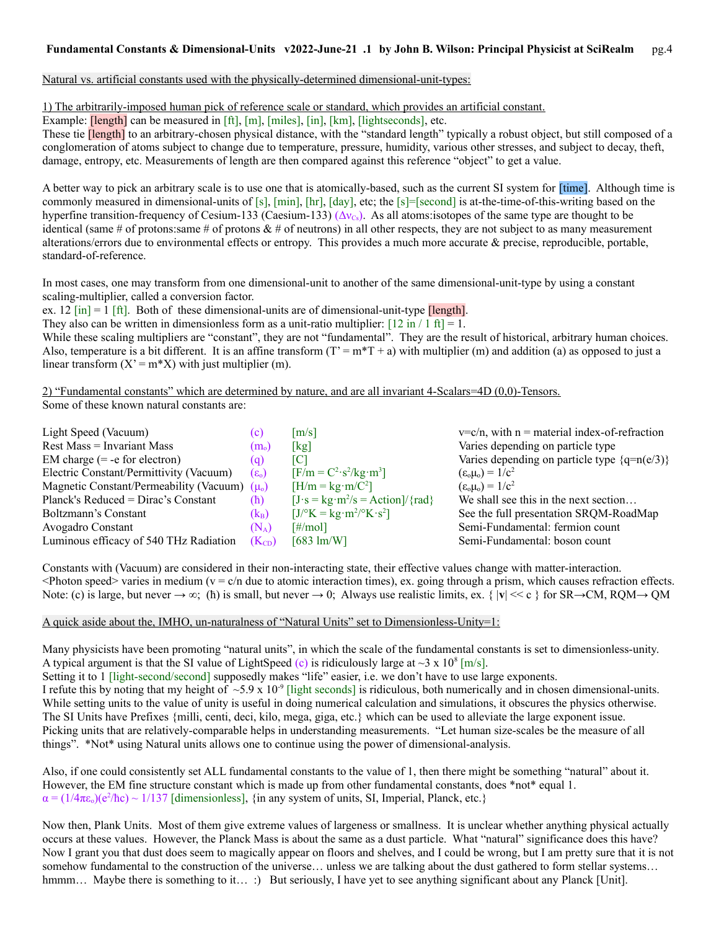Natural vs. artificial constants used with the physically-determined dimensional-unit-types:

1) The arbitrarily-imposed human pick of reference scale or standard, which provides an artificial constant.

Example: *[length]* can be measured in [ft], [m], [miles], [in], [km], [lightseconds], etc.

These tie **[length]** to an arbitrary-chosen physical distance, with the "standard length" typically a robust object, but still composed of a conglomeration of atoms subject to change due to temperature, pressure, humidity, various other stresses, and subject to decay, theft, damage, entropy, etc. Measurements of length are then compared against this reference "object" to get a value.

A better way to pick an arbitrary scale is to use one that is atomically-based, such as the current SI system for [time]. Although time is commonly measured in dimensional-units of [s],  $[\min]$ ,  $[\min]$ ,  $[\dim]$ , etc; the [s]=[second] is at-the-time-of-this-writing based on the hyperfine transition-frequency of Cesium-133 (Caesium-133)  $(\Delta v_{\rm Cs})$ . As all atoms: isotopes of the same type are thought to be identical (same # of protons: same # of protons  $\&$  # of neutrons) in all other respects, they are not subject to as many measurement alterations/errors due to environmental effects or entropy. This provides a much more accurate & precise, reproducible, portable, standard-of-reference.

In most cases, one may transform from one dimensional-unit to another of the same dimensional-unit-type by using a constant scaling-multiplier, called a conversion factor.

ex. 12  $\lceil \text{in} \rceil = 1$   $\lceil \text{ft} \rceil$ . Both of these dimensional-units are of dimensional-unit-type  $\lceil \text{length} \rceil$ .

They also can be written in dimensionless form as a unit-ratio multiplier:  $[12 \text{ in} / 1 \text{ ft}] = 1$ .

While these scaling multipliers are "constant", they are not "fundamental". They are the result of historical, arbitrary human choices. Also, temperature is a bit different. It is an affine transform  $(T = m^*T + a)$  with multiplier (m) and addition (a) as opposed to just a linear transform  $(X' = m^*X)$  with just multiplier (m).

2) "Fundamental constants" which are determined by nature, and are all invariant 4-Scalars=4D (0,0)-Tensors. Some of these known natural constants are:

| Light Speed (Vacuum)                              | (c)                  | $\lceil m/s \rceil$                                | $v=c/n$ , with $n =$ material index-of-refraction |
|---------------------------------------------------|----------------------|----------------------------------------------------|---------------------------------------------------|
| <b>Rest Mass = Invariant Mass</b>                 | (m <sub>o</sub> )    | [kg]                                               | Varies depending on particle type                 |
| EM charge $(= -e$ for electron)                   | (q)                  | [C]                                                | Varies depending on particle type $\{q=n(e/3)\}\$ |
| Electric Constant/Permittivity (Vacuum)           | $(\epsilon_{\rm o})$ | $[F/m = C^2 \cdot s^2/kg \cdot m^3]$               | $(\epsilon_{o}\mu_{o}) = 1/c^{2}$                 |
| Magnetic Constant/Permeability (Vacuum) $(\mu_0)$ |                      | $[H/m = kg·m/C2]$                                  | $(\epsilon_{o}\mu_{o}) = 1/c^{2}$                 |
| Planck's Reduced = Dirac's Constant               | (h)                  | $[J\cdot s = kg\cdot m^2/s = Action]/\{rad\}$      | We shall see this in the next section             |
| Boltzmann's Constant                              | $(k_B)$              | $[J/^\circ K = kg \cdot m^2 / ^\circ K \cdot s^2]$ | See the full presentation SRQM-RoadMap            |
| Avogadro Constant                                 | $(N_A)$              | $\lceil\#/\text{mol}\rceil$                        | Semi-Fundamental: fermion count                   |
| Luminous efficacy of 540 THz Radiation            | $(K_{CD})$           | $[683 \text{ lm/W}]$                               | Semi-Fundamental: boson count                     |
|                                                   |                      |                                                    |                                                   |

Constants with (Vacuum) are considered in their non-interacting state, their effective values change with matter-interaction.  $\leq$ Photon speed> varies in medium ( $v = c/n$  due to atomic interaction times), ex. going through a prism, which causes refraction effects. Note: (c) is large, but never  $\rightarrow \infty$ ; (h) is small, but never  $\rightarrow 0$ ; Always use realistic limits, ex. {  $|\mathbf{v}| \ll c$  } for SR $\rightarrow$ CM, RQM $\rightarrow$ QM

## A quick aside about the, IMHO, un-naturalness of "Natural Units" set to Dimensionless-Unity=1:

Many physicists have been promoting "natural units", in which the scale of the fundamental constants is set to dimensionless-unity. A typical argument is that the SI value of LightSpeed (c) is ridiculously large at  $\sim$ 3 x 10<sup>8</sup> [m/s].

Setting it to 1 [light-second/second] supposedly makes "life" easier, i.e. we don't have to use large exponents. I refute this by noting that my height of  $~5.9 \times 10^{-9}$  [light seconds] is ridiculous, both numerically and in chosen dimensional-units. While setting units to the value of unity is useful in doing numerical calculation and simulations, it obscures the physics otherwise. The SI Units have Prefixes {milli, centi, deci, kilo, mega, giga, etc.} which can be used to alleviate the large exponent issue. Picking units that are relatively-comparable helps in understanding measurements. "Let human size-scales be the measure of all things". \*Not\* using Natural units allows one to continue using the power of dimensional-analysis.

Also, if one could consistently set ALL fundamental constants to the value of 1, then there might be something "natural" about it. However, the EM fine structure constant which is made up from other fundamental constants, does \*not\* equal 1.  $\alpha = (1/4\pi\epsilon_0)(e^2/\hbar c) \sim 1/137$  [dimensionless], {in any system of units, SI, Imperial, Planck, etc.}

Now then, Plank Units. Most of them give extreme values of largeness or smallness. It is unclear whether anything physical actually occurs at these values. However, the Planck Mass is about the same as a dust particle. What "natural" significance does this have? Now I grant you that dust does seem to magically appear on floors and shelves, and I could be wrong, but I am pretty sure that it is not somehow fundamental to the construction of the universe… unless we are talking about the dust gathered to form stellar systems… hmmm... Maybe there is something to it... :) But seriously, I have yet to see anything significant about any Planck [Unit].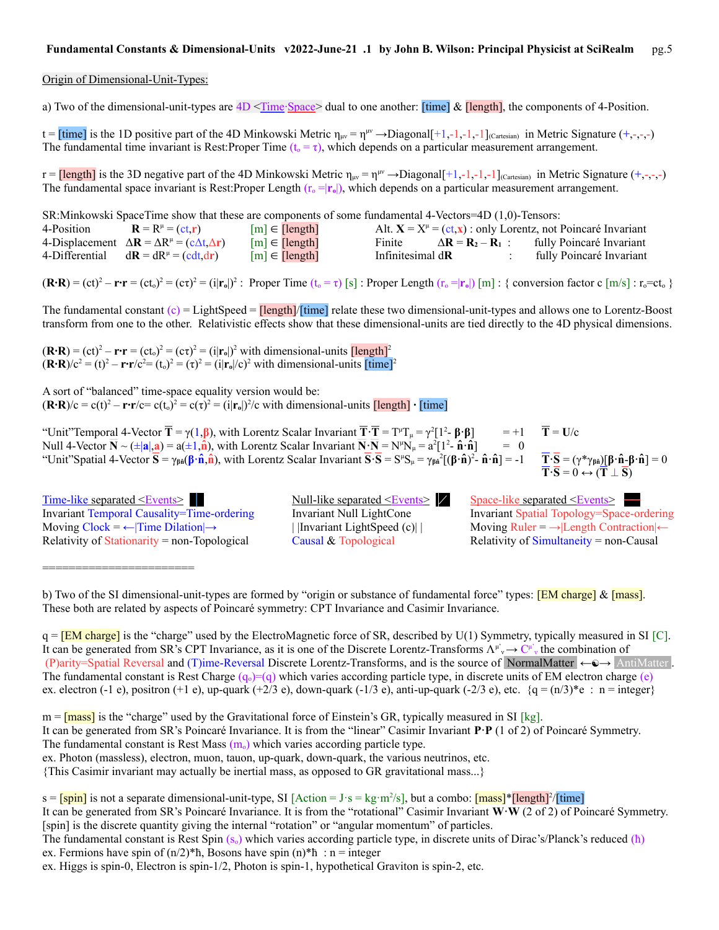#### Origin of Dimensional-Unit-Types:

a) Two of the dimensional-unit-types are 4D <Time∙Space> dual to one another: [time] & [length], the components of 4-Position.

 $t =$  [time] is the 1D positive part of the 4D Minkowski Metric  $\eta_{\mu\nu} = \eta^{\mu\nu} \rightarrow$ Diagonal[+1,-1,-1,-1]<sub>(Cartesian)</sub> in Metric Signature (+,-,-,-) The fundamental time invariant is Rest:Proper Time  $(t_0 = \tau)$ , which depends on a particular measurement arrangement.

r =  $\frac{[length]}{]}$  is the 3D negative part of the 4D Minkowski Metric  $\eta_{\mu\nu} = \eta^{\mu\nu} \rightarrow \text{Diagonal}[+1,-1,-1,-1]$ <sub>(Cartesian)</sub> in Metric Signature  $(+,-,-,-)$ The fundamental space invariant is Rest:Proper Length  $(r_0 = |r_0|)$ , which depends on a particular measurement arrangement.

SR:Minkowski SpaceTime show that these are components of some fundamental 4-Vectors=4D (1,0)-Tensors:

| 4-Position | $\mathbf{R} = \mathbf{R}^{\mu} = (\mathbf{c}\mathbf{t}, \mathbf{r})$                  | $[m] \in [length]$ |                          |                          | Alt. $X = X^{\mu} = (ct, x)$ : only Lorentz, not Poincaré Invariant |
|------------|---------------------------------------------------------------------------------------|--------------------|--------------------------|--------------------------|---------------------------------------------------------------------|
|            | 4-Displacement $\Delta \mathbf{R} = \Delta R^{\mu} = (c \Delta t, \Delta \mathbf{r})$ | $[m] \in [length]$ | Finite                   | $\Delta R = R_2 - R_1$ : | fully Poincaré Invariant                                            |
|            | 4-Differential $d\mathbf{R} = dR^{\mu} = (cdt, dr)$                                   | $[m] \in [length]$ | Infinitesimal d <b>R</b> |                          | fully Poincaré Invariant                                            |

 $(\mathbf{R} \cdot \mathbf{R}) = (\mathbf{c} \mathbf{t})^2 - \mathbf{r} \cdot \mathbf{r} = (\mathbf{c} \mathbf{t}_0)^2 = (\mathbf{c} \mathbf{t})^2 = (\mathbf{i} |\mathbf{r}_0|)^2$ : Proper Time  $(\mathbf{t}_0 = \mathbf{r})$  [s] : Proper Length  $(\mathbf{r}_0 = |\mathbf{r}_0|)$  [m] : { conversion factor c [m/s] :  $\mathbf{r}_0 = \mathbf{c} \mathbf{t}_$ 

The fundamental constant  $(c) =$  LightSpeed =  $\frac{[length]/[time]}{[length]}$  relate these two dimensional-unit-types and allows one to Lorentz-Boost transform from one to the other. Relativistic effects show that these dimensional-units are tied directly to the 4D physical dimensions.

 $(\mathbf{R} \cdot \mathbf{R}) = (\mathbf{c} \mathbf{t})^2 - \mathbf{r} \cdot \mathbf{r} = (\mathbf{c} \mathbf{t}_0)^2 = (\mathbf{c} \mathbf{t})^2 = (\mathbf{i} |\mathbf{r}_0|)^2$  with dimensional-units  $[\text{length}]^2$  $(\mathbf{R} \cdot \mathbf{R})/c^2 = (t)^2 - \mathbf{r} \cdot \mathbf{r}/c^2 = (t_0)^2 = (t_0)^2 = (i|\mathbf{r}_0|/c)^2$  with dimensional-units  $[\text{time}]^2$ 

A sort of "balanced" time-space equality version would be:  $({\bf R} \cdot {\bf R})/c = c(t)^2 - {\bf r} \cdot {\bf r}/c = c(t_0)^2 = c(\tau)^2 = (i|{\bf r}_0|)^2/c$  with dimensional-units  $\text{[length]} \cdot \text{[time]}$ 

"Unit"Temporal 4-Vector  $\overline{T} = \gamma(1,\beta)$ , with Lorentz Scalar Invariant  $\overline{T} \cdot \overline{T} = T^{\mu}T_{\mu} = \gamma^2[1^2 - \beta \cdot \beta]$  = +1  $\overline{T} = U/c$ Null 4-Vector  $\overline{\mathbf{N}} \sim (\pm |\mathbf{a}|, \mathbf{a}) = \mathbf{a}(\pm 1, \hat{\mathbf{n}})$ , with Lorentz Scalar Invariant  $\overline{\mathbf{N}} \cdot \overline{\mathbf{N}} = \mathbf{N}^{\mu} \mathbf{N}_{\mu} = \mathbf{a}^2 [1^2 \cdot \hat{\mathbf{n}} \cdot \hat{\mathbf{n}}] = 0$ "Unit"Spatial 4-Vector  $\overline{S} = \gamma_{\beta \hat{n}}(\beta \cdot \hat{n}, \hat{n})$ , with Lorentz Scalar Invariant  $\overline{S} \cdot \overline{S} = S^{\mu} S_{\mu} = \gamma_{\beta \hat{n}}^2 [(\beta \cdot \hat{n})^2]$ 

- **n̂·n̂**] = -1 **T·S** = (γ\*γ**βn̂**)[**β·n̂**-**β·n̂**] = 0  $T \cdot S = 0 \leftrightarrow (T \perp S)$ 

Time-like separated <Events≥ Null-like separated <Events≥ → Null-like separated <Events→ Space-like separated <Events→ Invariant Temporal Causality=Time-ordering Invariant Null LightCone Invariant Spatial Topology=Space-ordering Moving Clock = ←|Time Dilation|→ | |Invariant LightSpeed (c)| | Moving Ruler = →|Length Contraction|← Relativity of Stationarity = non-Topological Causal  $\&$  Topological Relativity of Simultaneity = non-Causal

========================

 $m = \frac{mass}{s}$  is the "charge" used by the Gravitational force of Einstein's GR, typically measured in SI [kg].

The fundamental constant is Rest Mass  $(m_0)$  which varies according particle type.

ex. Photon (massless), electron, muon, tauon, up-quark, down-quark, the various neutrinos, etc.

{This Casimir invariant may actually be inertial mass, as opposed to GR gravitational mass...}

s = [spin] is not a separate dimensional-unit-type, SI [Action = J·s = kg·m<sup>2</sup>/s], but a combo: [mass]\*[length]<sup>2</sup>/[time]

It can be generated from SR's Poincaré Invariance. It is from the "rotational" Casimir Invariant **W·W** (2 of 2) of Poincaré Symmetry. [spin] is the discrete quantity giving the internal "rotation" or "angular momentum" of particles.

b) Two of the SI dimensional-unit-types are formed by "origin or substance of fundamental force" types: [EM charge] & [mass]. These both are related by aspects of Poincaré symmetry: CPT Invariance and Casimir Invariance.

 $q = [EM charge]$  is the "charge" used by the ElectroMagnetic force of SR, described by U(1) Symmetry, typically measured in SI [C]. It can be generated from SR's CPT Invariance, as it is one of the Discrete Lorentz-Transforms  $\Lambda^{\mu}{}_{\nu} \to C^{\mu}{}_{\nu}$ , the combination of (P)arity=Spatial Reversal and (T)ime-Reversal Discrete Lorentz-Transforms, and is the source of NormalMatter  $\leftarrow \rightarrow$  AntiMatter . The fundamental constant is Rest Charge  $(q_0)=(q)$  which varies according particle type, in discrete units of EM electron charge (e) ex. electron (-1 e), positron (+1 e), up-quark (+2/3 e), down-quark (-1/3 e), anti-up-quark (-2/3 e), etc.  $\{q = (n/3)^*e : n = integer\}$ 

It can be generated from SR's Poincaré Invariance. It is from the "linear" Casimir Invariant **P·P** (1 of 2) of Poincaré Symmetry.

The fundamental constant is Rest Spin  $(s_0)$  which varies according particle type, in discrete units of Dirac's/Planck's reduced ( $\hbar$ ) ex. Fermions have spin of  $(n/2)^*$ h, Bosons have spin  $(n)^*$ h : n = integer

ex. Higgs is spin-0, Electron is spin-1/2, Photon is spin-1, hypothetical Graviton is spin-2, etc.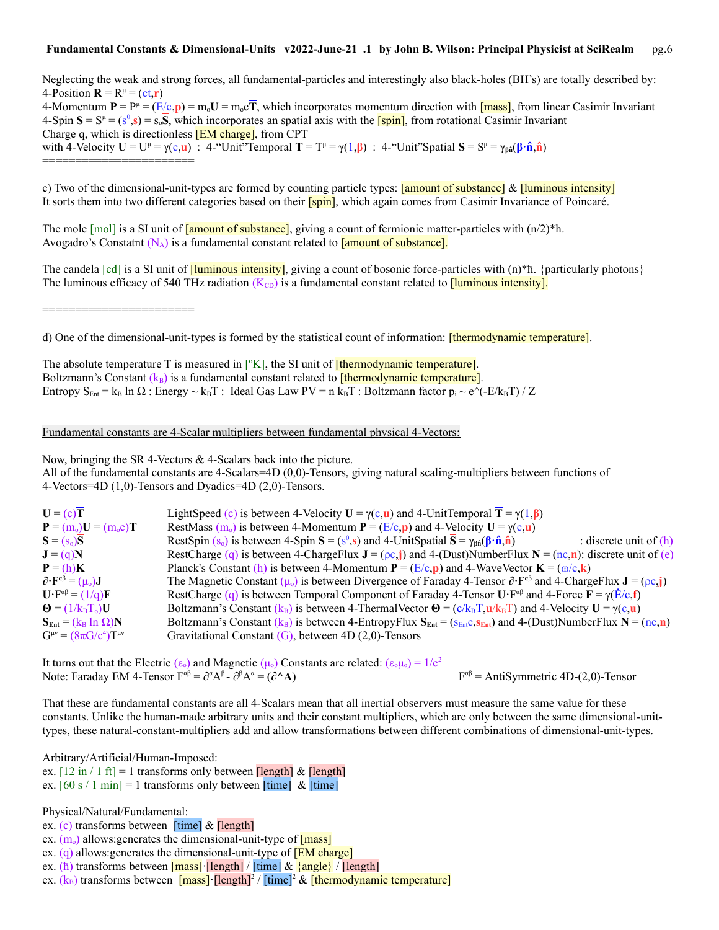Neglecting the weak and strong forces, all fundamental-particles and interestingly also black-holes (BH's) are totally described by: 4-Position  $\mathbf{R} = R^{\mu} = (ct, \mathbf{r})$ 4-Momentum  $P = P^{\mu} = (E/c, p) = m_0 U = m_0 cT$ , which incorporates momentum direction with *[mass]*, from linear Casimir Invariant  $4\text{-Spin }\mathbf{S} = \mathbf{S}^{\mu} = (\mathbf{s}^0,\mathbf{s}) = \mathbf{s}_0\mathbf{\overline{S}}$ , which incorporates an spatial axis with the **[spin]**, from rotational Casimir Invariant Charge q, which is directionless [EM charge], from CPT with 4-Velocity  $U = U^{\mu} = \gamma(c, \mathbf{u})$  : 4-"Unit"Temporal  $\overline{T} = \overline{T}^{\mu} = \gamma(1, \beta)$  : 4-"Unit"Spatial  $\overline{S} = \overline{S}^{\mu} = \gamma_{\beta \hat{n}}(\beta \cdot \hat{n}, \hat{n})$ ========================

c) Two of the dimensional-unit-types are formed by counting particle types:  $\frac{1}{2}$  [amount of substance] &  $\frac{1}{2}$  [luminous intensity] It sorts them into two different categories based on their **[spin]**, which again comes from Casimir Invariance of Poincaré.

The mole  $[mol]$  is a SI unit of  $[\text{amount of substance}]$ , giving a count of fermionic matter-particles with  $(n/2)$ <sup>\*h</sup>. Avogadro's Constatnt  $(N_A)$  is a fundamental constant related to  $\frac{1}{\text{amount of substance}}$ .

The candela  $\lceil \text{cd} \rceil$  is a SI unit of  $\lceil \text{luminous intensity} \rceil$ , giving a count of bosonic force-particles with  $(n)^* \hbar$ . {particularly photons} The luminous efficacy of 540 THz radiation  $(K_{CD})$  is a fundamental constant related to  $\frac{[{\text{luminous intensity}}]}{[{\text{luminous intensity}}]}$ .

d) One of the dimensional-unit-types is formed by the statistical count of information: [thermodynamic temperature].

The absolute temperature T is measured in  $[<sup>o</sup>K]$ , the SI unit of  $[thermodynamic$  temperature]. Boltzmann's Constant  $(k_B)$  is a fundamental constant related to **[thermodynamic temperature]**. Entropy  $S_{Ent} = k_B \ln \Omega$ : Energy ~  $k_B T$ : Ideal Gas Law PV = n  $k_B T$ : Boltzmann factor  $p_i \sim e^{k_A T}$  / Z

## Fundamental constants are 4-Scalar multipliers between fundamental physical 4-Vectors:

Now, bringing the SR 4-Vectors & 4-Scalars back into the picture. All of the fundamental constants are 4-Scalars=4D  $(0,0)$ -Tensors, giving natural scaling-multipliers between functions of 4-Vectors=4D (1,0)-Tensors and Dyadics=4D (2,0)-Tensors.

| $U = (c)T$                                                             | LightSpeed (c) is between 4-Velocity $U = \gamma(c, u)$ and 4-UnitTemporal $T = \gamma(1, \beta)$                                                                               |
|------------------------------------------------------------------------|---------------------------------------------------------------------------------------------------------------------------------------------------------------------------------|
| ${\bf P} = (m_0){\bf U} = (m_0{\bf c}){\bf T}$                         | RestMass (m <sub>o</sub> ) is between 4-Momentum $P = (E/c, p)$ and 4-Velocity $U = \gamma(c, u)$                                                                               |
| $S = (s_o)S$                                                           | RestSpin (s <sub>o</sub> ) is between 4-Spin $S = (s^0, s)$ and 4-UnitSpatial $\overline{S} = \gamma_{\beta \hat{n}}(\beta \cdot \hat{n}, \hat{n})$<br>: discrete unit of $(h)$ |
| $J = (q)N$                                                             | RestCharge (q) is between 4-ChargeFlux $J = (\rho c_j)$ and 4-(Dust)NumberFlux $N = (nc, n)$ : discrete unit of (e)                                                             |
| $P = (\hbar)K$                                                         | Planck's Constant (h) is between 4-Momentum $P = (E/c, p)$ and 4-WaveVector $K = (\omega/c, k)$                                                                                 |
| $\partial \cdot F^{\alpha\beta} = (\mu_0)J$                            | The Magnetic Constant ( $\mu_0$ ) is between Divergence of Faraday 4-Tensor $\partial \cdot F^{\alpha\beta}$ and 4-ChargeFlux $J = (\rho c_i j)$                                |
| $\mathbf{U} \cdot \mathbf{F}^{\alpha\beta} = (1/\mathbf{q})\mathbf{F}$ | RestCharge (q) is between Temporal Component of Faraday 4-Tensor $\mathbf{U} \cdot \mathbf{F}^{ab}$ and 4-Force $\mathbf{F} = \gamma(\dot{\mathbf{E}}/\mathbf{c}, \mathbf{f})$  |
| $\mathbf{\Theta} = (1/\mathbf{k}_B \mathbf{T}_o) \mathbf{U}$           | Boltzmann's Constant (k <sub>B</sub> ) is between 4-ThermalVector $\mathbf{\Theta} = (c/k_B T, \mathbf{u}/k_B T)$ and 4-Velocity $\mathbf{U} = \gamma(c, \mathbf{u})$           |
| $S_{Ent} = (k_B \ln \Omega) N$                                         | Boltzmann's Constant (k <sub>B</sub> ) is between 4-EntropyFlux $S_{Ent} = (S_{Ent}c_S_{Ent})$ and 4-(Dust)NumberFlux $N = (nc, n)$                                             |
| $G^{\mu\nu} = (8\pi G/c^4) T^{\mu\nu}$                                 | Gravitational Constant $(G)$ , between 4D $(2,0)$ -Tensors                                                                                                                      |
|                                                                        |                                                                                                                                                                                 |

It turns out that the Electric  $(\epsilon_0)$  and Magnetic  $(\mu_0)$  Constants are related:  $(\epsilon_0\mu_0) = 1/c^2$ Note: Faraday EM 4-Tensor F<sup> $\alpha\beta$ </sup> =  $\partial^{\alpha}A^{\beta}$  -  $\partial^{\beta}A^{\alpha} = (\partial^{\wedge}A)$  F  $F^{\alpha\beta}$  = AntiSymmetric 4D-(2,0)-Tensor

That these are fundamental constants are all 4-Scalars mean that all inertial observers must measure the same value for these constants. Unlike the human-made arbitrary units and their constant multipliers, which are only between the same dimensional-unittypes, these natural-constant-multipliers add and allow transformations between different combinations of dimensional-unit-types.

Arbitrary/Artificial/Human-Imposed:

========================

ex.  $[12 \text{ in } 1 \text{ ft}] = 1$  transforms only between  $\text{[length]} \& \text{[length]}$ ex.  $[60 s / 1 min] = 1$  transforms only between  $[time]$  &  $[time]$ 

Physical/Natural/Fundamental:

- ex. (c) transforms between [time] & [length]
- ex.  $(m_0)$  allows: generates the dimensional-unit-type of  $[mass]$
- ex.  $(q)$  allows: generates the dimensional-unit-type of  $[EM \space charge]$
- ex. (ћ) transforms between [mass]·[length] / [time] & {angle} / [length]
- ex. (k<sub>B</sub>) transforms between [mass] [length]<sup>2</sup> / [time]<sup>2</sup> & [thermodynamic temperature]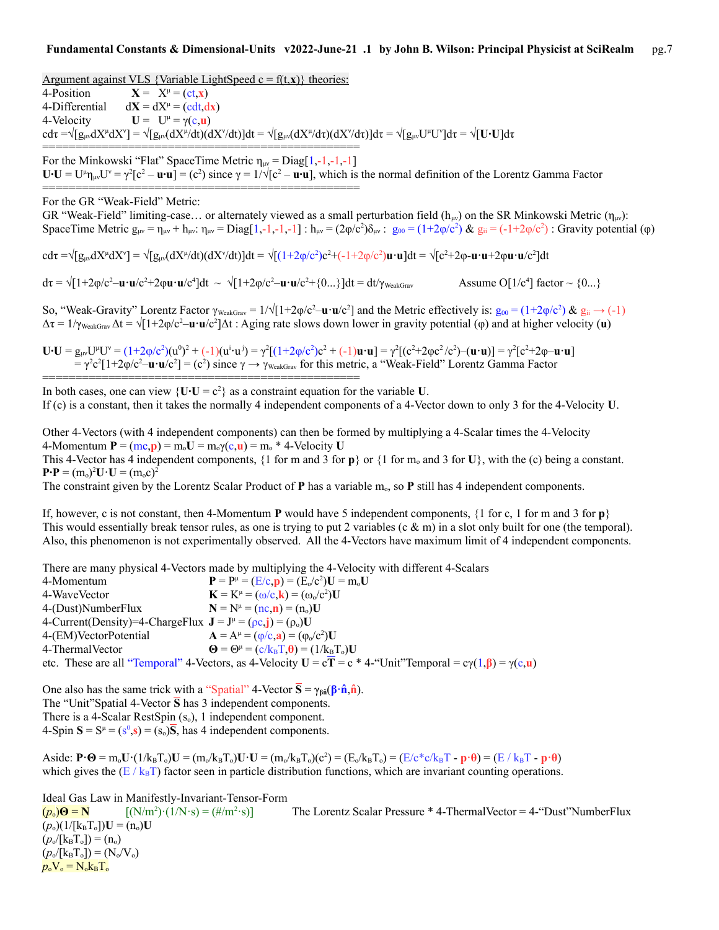Argument against VLS {Variable LightSpeed  $c = f(t, x)$ } theories:  $4$ -Position  $X = X^{\mu} = (ct, x)$ 4-Differential  $dX = dX^{\mu} = (cdt, dx)$ 4-Velocity  $U = U^{\mu} = \gamma(c, u)$  $\text{cd}\tau = \sqrt{[g_{\mu\nu}dX^{\mu}dX^{\nu}]} = \sqrt{[g_{\mu\nu}(dX^{\mu}/dt)(dX^{\nu}/dt)]}dt = \sqrt{[g_{\mu\nu}(dX^{\mu}/d\tau)(dX^{\nu}/d\tau)]}dt = \sqrt{[g_{\mu\nu}U^{\mu}U^{\nu}]}d\tau = \sqrt{[U\cdot U]}d\tau$ ================================================ For the Minkowski "Flat" SpaceTime Metric  $\eta_{\mu\nu} = \text{Diag}[1,-1,-1,-1]$  $\mathbf{U} \cdot \mathbf{U} = \mathbf{U}^{\mu} \mathbf{n}_{\mu\nu} \mathbf{U}^{\nu} = \gamma^2 [\mathbf{c}^2 - \mathbf{u} \cdot \mathbf{u}] = (\mathbf{c}^2)$  since  $\gamma = 1/\sqrt{[\mathbf{c}^2 - \mathbf{u} \cdot \mathbf{u}]}$ , which is the normal definition of the Lorentz Gamma Factor ================================================

For the GR "Weak-Field" Metric:

GR "Weak-Field" limiting-case... or alternately viewed as a small perturbation field ( $h_{uv}$ ) on the SR Minkowski Metric ( $n_{uv}$ ): SpaceTime Metric  $g_{\mu\nu} = \eta_{\mu\nu} + h_{\mu\nu}$ :  $\eta_{\mu\nu} = Diag[1,-1,-1,-1]$  :  $h_{\mu\nu} = (2\varphi/c^2)\delta_{\mu\nu}$  :  $g_{00} = (1+2\varphi/c^2)$  &  $g_{ii} = (-1+2\varphi/c^2)$  : Gravity potential  $(\varphi)$ 

cdτ =√[g<sub>μν</sub>dX<sup>µ</sup>dX`] = √[g<sub>μν</sub>(dX<sup>µ</sup>/dt)(dX'/dt)]dt = √[(1+2φ/c<sup>2</sup>)**c**<sup>2</sup>+(-1+2φ/c<sup>2</sup>)**u·u**]dt = √[c<sup>2</sup>+2φ**-u·u**+2φ**u·u**/c<sup>2</sup>]dt

 $d\tau = \sqrt{[1+2\varphi/c^2 - \mathbf{u} \cdot \mathbf{u}/c^2 + 2\varphi \mathbf{u} \cdot \mathbf{u}/c^4]}dt \sim \sqrt{[1+2\varphi/c^2 - \mathbf{u} \cdot \mathbf{u}/c^2 + {0...}}]dt = dt/\gamma_{\text{WeakGraw}}$  Assume O[1/c<sup>4</sup> Assume O[1/c<sup>4</sup>] factor  $\sim$  {0...}

So, "Weak-Gravity" Lorentz Factor  $\gamma_{\text{WeakGraw}} = 1/\sqrt{1+2\varphi/c^2} - \mathbf{u} \cdot \mathbf{u}/c^2$  and the Metric effectively is:  $g_{00} = (1+2\varphi/c^2) \& g_{ii} \rightarrow (-1)$  $\Delta \tau = 1/\gamma_{\text{WeakGrav}}\Delta t = \sqrt{[1+2\varphi/c^2 - \mathbf{u}\cdot\mathbf{u}/c^2} \Delta t$ : Aging rate slows down lower in gravity potential ( $\varphi$ ) and at higher velocity (**u**)

**U**⋅**U** = g<sub>μν</sub>U<sup>µ</sup>U<sup>v</sup> = (1+2φ/c<sup>2</sup>)(u<sup>0</sup>)<sup>2</sup> + (-1)(u<sup>i</sup>⋅u<sup>j</sup>) = γ<sup>2</sup>[(1+2φ/c<sup>2</sup>)c<sup>2</sup> + (-1)**u⋅u**] = γ<sup>2</sup>[(c<sup>2</sup>+2φc<sup>2</sup>/c<sup>2</sup>)–(**u⋅u**)] = γ<sup>2</sup>[c<sup>2</sup>+2φ-**u⋅u**]  $=\gamma^2 c^2[1+2\varphi/c^2-\mathbf{u}\cdot\mathbf{u}/c^2]=(c^2)$  since  $\gamma\to\gamma_{\text{WeakGraw}}$  for this metric, a "Weak-Field" Lorentz Gamma Factor

In both cases, one can view  ${U \cdot U = c^2}$  as a constraint equation for the variable U. If (c) is a constant, then it takes the normally 4 independent components of a 4-Vector down to only 3 for the 4-Velocity **U**.

Other 4-Vectors (with 4 independent components) can then be formed by multiplying a 4-Scalar times the 4-Velocity  $4$ -Momentum  $P = (mc, p) = m_0U = m_0\gamma(c, u) = m_0 * 4$ -Velocity U This 4-Vector has 4 independent components, {1 for m and 3 for  $\mathbf{p}$ } or {1 for m<sub>o</sub> and 3 for **U**}, with the (c) being a constant.  $P \cdot P = (m_o)^2 U \cdot U = (m_o c)^2$ 

The constraint given by the Lorentz Scalar Product of  $P$  has a variable m<sub>o</sub>, so  $P$  still has 4 independent components.

If, however, c is not constant, then 4-Momentum **P** would have 5 independent components,  $\{1 \text{ for } c, 1 \text{ for } m \text{ and } 3 \text{ for } p\}$ This would essentially break tensor rules, as one is trying to put 2 variables (c  $\&$  m) in a slot only built for one (the temporal). Also, this phenomenon is not experimentally observed. All the 4-Vectors have maximum limit of 4 independent components.

There are many physical 4-Vectors made by multiplying the 4-Velocity with different 4-Scalars

| 4-Momentum                                                                                          | ${\bf P} = {\bf P}^{\mu} = (E/c, {\bf p}) = (E_0/c^2) {\bf U} = m_0 {\bf U}$                                                 |
|-----------------------------------------------------------------------------------------------------|------------------------------------------------------------------------------------------------------------------------------|
| 4-WaveVector                                                                                        | $\mathbf{K} = \mathbf{K}^{\mu} = (\omega/c, \mathbf{k}) = (\omega_0/c^2) \mathbf{U}$                                         |
| 4-(Dust)NumberFlux                                                                                  | $N = N^{\mu} = (nc, n) = (n_{o})U$                                                                                           |
| 4-Current(Density)=4-ChargeFlux $\mathbf{J} = J^{\mu} = (\rho c, \mathbf{j}) = (\rho_0) \mathbf{U}$ |                                                                                                                              |
| 4-(EM)VectorPotential                                                                               | $A = A^{\mu} = (\phi/c, a) = (\phi_0/c^2)U$                                                                                  |
| 4-ThermalVector                                                                                     | $\mathbf{\Theta} = \mathbf{\Theta}^{\mu} = (c/k_{\text{B}}T_{\text{v}}\mathbf{\theta}) = (1/k_{\text{B}}T_{\text{v}})U$      |
|                                                                                                     | etc. These are all "Temporal" 4-Vectors, as 4-Velocity $U = cT = c * 4$ -"Unit"Temporal = $c\gamma(1, \beta) = \gamma(c, u)$ |

One also has the same trick with a "Spatial" 4-Vector  $\overline{S} = \gamma_{\beta \hat{n}}(\beta \cdot \hat{n}, \hat{n})$ . The "Unit"Spatial 4-Vector **S** has 3 independent components. There is a 4-Scalar RestSpin  $(s_0)$ , 1 independent component.  $4\text{-Spin }S = S^{\mu} = (s^0, s) = (s_0)\overline{S}$ , has 4 independent components.

================================================

 $\text{Aside: } \mathbf{P} \cdot \mathbf{\Theta} = \text{m}_o \mathbf{U} \cdot (1/\text{k}_B \mathbf{T}_o) \mathbf{U} = (\text{m}_o/\text{k}_B \mathbf{T}_o) \mathbf{U} \cdot \mathbf{U} = (\text{m}_o/\text{k}_B \mathbf{T}_o)(c^2) = (\text{E}_o/\text{k}_B \mathbf{T}_o) = (\text{E}_o/\text{k}_B \mathbf{T} - \mathbf{p} \cdot \mathbf{\Theta}) = (\text{E}_o/\text{k}_B \mathbf{T} - \mathbf{p} \cdot \mathbf{\Theta})$ which gives the  $(E / k_B T)$  factor seen in particle distribution functions, which are invariant counting operations.

Ideal Gas Law in Manifestly-Invariant-Tensor-Form

 $(p_0)$ **Θ** = **N**  $[(N/m^2) \cdot (1/N \cdot s) = (\#/m^2 \cdot s)]$ The Lorentz Scalar Pressure  $*$  4-ThermalVector = 4-"Dust"NumberFlux  $(p_o)(1/[k_BT_o])U = (n_o)U$  $(p_o/[k_B T_o]) = (n_o)$  $(p_0/[k_B T_0]) = (N_0/V_0)$  $p_{o}V_{o} = N_{o}k_{B}T_{o}$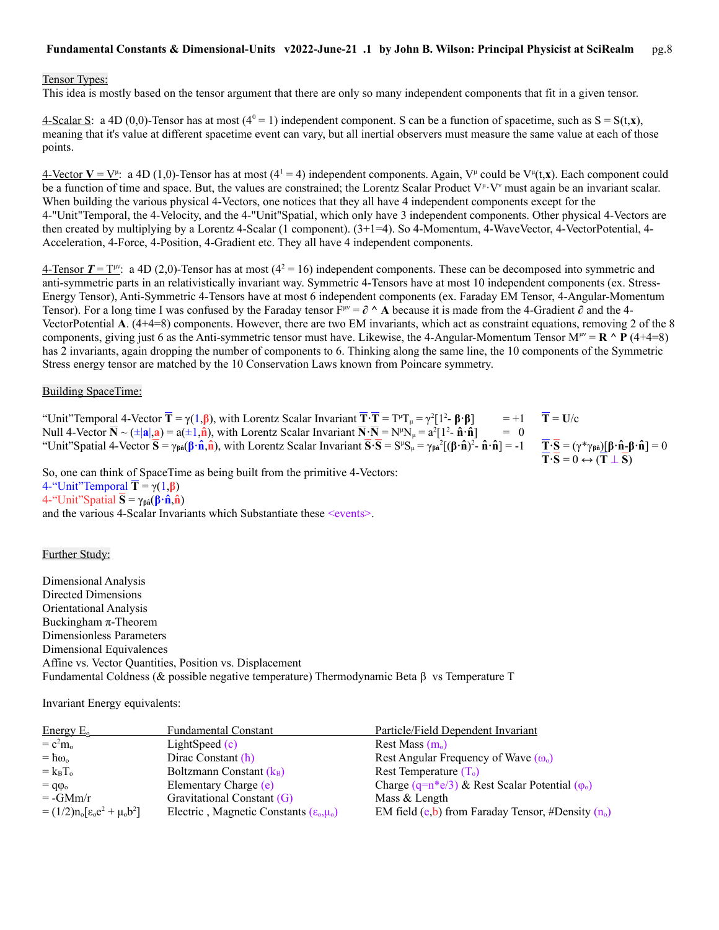#### Tensor Types:

This idea is mostly based on the tensor argument that there are only so many independent components that fit in a given tensor.

4-Scalar S: a 4D (0,0)-Tensor has at most  $(4^0 = 1)$  independent component. S can be a function of spacetime, such as  $S = S(t, x)$ , meaning that it's value at different spacetime event can vary, but all inertial observers must measure the same value at each of those points.

 $4$ -Vector  $V = V^{\mu}$ : a 4D (1,0)-Tensor has at most (4<sup>1</sup> = 4) independent components. Again, V<sup> $\mu$ </sup> could be V<sup> $\mu$ </sup>(t,**x**). Each component could be a function of time and space. But, the values are constrained; the Lorentz Scalar Product V<sup>µ</sup>·V<sup>*v*</sup> must again be an invariant scalar. When building the various physical 4-Vectors, one notices that they all have 4 independent components except for the 4-"Unit"Temporal, the 4-Velocity, and the 4-"Unit"Spatial, which only have 3 independent components. Other physical 4-Vectors are then created by multiplying by a Lorentz 4-Scalar (1 component). (3+1=4). So 4-Momentum, 4-WaveVector, 4-VectorPotential, 4-Acceleration, 4-Force, 4-Position, 4-Gradient etc. They all have 4 independent components.

 $\frac{4\text{-Tensor}}{T} = T^{\mu\nu}$ : a 4D (2,0)-Tensor has at most ( $4^2 = 16$ ) independent components. These can be decomposed into symmetric and anti-symmetric parts in an relativistically invariant way. Symmetric 4-Tensors have at most 10 independent components (ex. Stress-Energy Tensor), Anti-Symmetric 4-Tensors have at most 6 independent components (ex. Faraday EM Tensor, 4-Angular-Momentum Tensor). For a long time I was confused by the Faraday tensor  $F^{\mu\nu} = \partial \wedge A$  because it is made from the 4-Gradient  $\partial$  and the 4-VectorPotential **A**. (4+4=8) components. However, there are two EM invariants, which act as constraint equations, removing 2 of the 8 components, giving just 6 as the Anti-symmetric tensor must have. Likewise, the 4-Angular-Momentum Tensor  $M^{\mu\nu} = \mathbf{R} \wedge \mathbf{P} (4+4=8)$ has 2 invariants, again dropping the number of components to 6. Thinking along the same line, the 10 components of the Symmetric Stress energy tensor are matched by the 10 Conservation Laws known from Poincare symmetry.

#### Building SpaceTime:

"Unit"Temporal 4-Vector  $\overline{T} = \gamma(1,\beta)$ , with Lorentz Scalar Invariant  $\overline{T} \cdot \overline{T} = T^{\mu}T_{\mu} = \gamma^2 [1^2$  $= +1$  **T** = U/c Null 4-Vector  $\mathbf{\bar{N}} \sim (\pm |\mathbf{a}|, \mathbf{a}) = \mathbf{a}(\pm 1, \hat{\mathbf{n}})$ , with Lorentz Scalar Invariant  $\mathbf{\bar{N}} \cdot \mathbf{\bar{N}} = \mathbf{N}^{\mu} \mathbf{N}_{\mu} = \mathbf{a}^2 [1^2 \cdot \hat{\mathbf{n}} \cdot \hat{\mathbf{n}}] = 0$ "Unit"Spatial 4-Vector  $\overline{S} = \gamma_{\beta \hat{n}}(\beta \cdot \hat{n}, \hat{n})$ , with Lorentz Scalar Invariant  $\overline{S} \cdot \overline{S} = S^{\mu} S_{\mu} = \gamma_{\beta \hat{n}}^2 [(\beta \cdot \hat{n})^2]$  $\overline{\mathbf{T}} \cdot \overline{\mathbf{S}} = (\gamma^* \gamma_{\beta \hat{\mathbf{n}}})[\beta \cdot \hat{\mathbf{n}} - \beta \cdot \hat{\mathbf{n}}] = 0$  $\overline{T} \cdot \overline{S} = 0 \leftrightarrow (\overline{T} \perp \overline{S})$ 

So, one can think of SpaceTime as being built from the primitive 4-Vectors:  $4$ -"Unit"Temporal  $\overline{T} = \gamma(1, \beta)$ 4-"Unit"Spatial **S** = γ**βn̂**(**β·n̂**,**n̂**) and the various 4-Scalar Invariants which Substantiate these <events>.

### Further Study:

Dimensional Analysis Directed Dimensions Orientational Analysis Buckingham π-Theorem Dimensionless Parameters Dimensional Equivalences Affine vs. Vector Quantities, Position vs. Displacement Fundamental Coldness (& possible negative temperature) Thermodynamic Beta βvs Temperature T

Invariant Energy equivalents:

| Energy E <sub>o</sub>                      | Fundamental Constant                                       | Particle/Field Dependent Invariant                       |
|--------------------------------------------|------------------------------------------------------------|----------------------------------------------------------|
| $= c2mo$                                   | LightSpeed $(c)$                                           | Rest Mass $(m_0)$                                        |
| $=$ h <sub>o</sub>                         | Dirac Constant $(h)$                                       | Rest Angular Frequency of Wave $(\omega_0)$              |
| $= k_B T_0$                                | Boltzmann Constant $(k_B)$                                 | Rest Temperature $(T_0)$                                 |
| $= q\varphi$ <sub>o</sub>                  | Elementary Charge (e)                                      | Charge $(q=n*e/3)$ & Rest Scalar Potential $(\varphi_0)$ |
| $= -GMm/r$                                 | Gravitational Constant (G)                                 | Mass & Length                                            |
| $= (1/2) n_0 [\epsilon_0 e^2 + \mu_0 b^2]$ | Electric, Magnetic Constants ( $\varepsilon_{0},\mu_{0}$ ) | EM field $(e,b)$ from Faraday Tensor, #Density $(n_0)$   |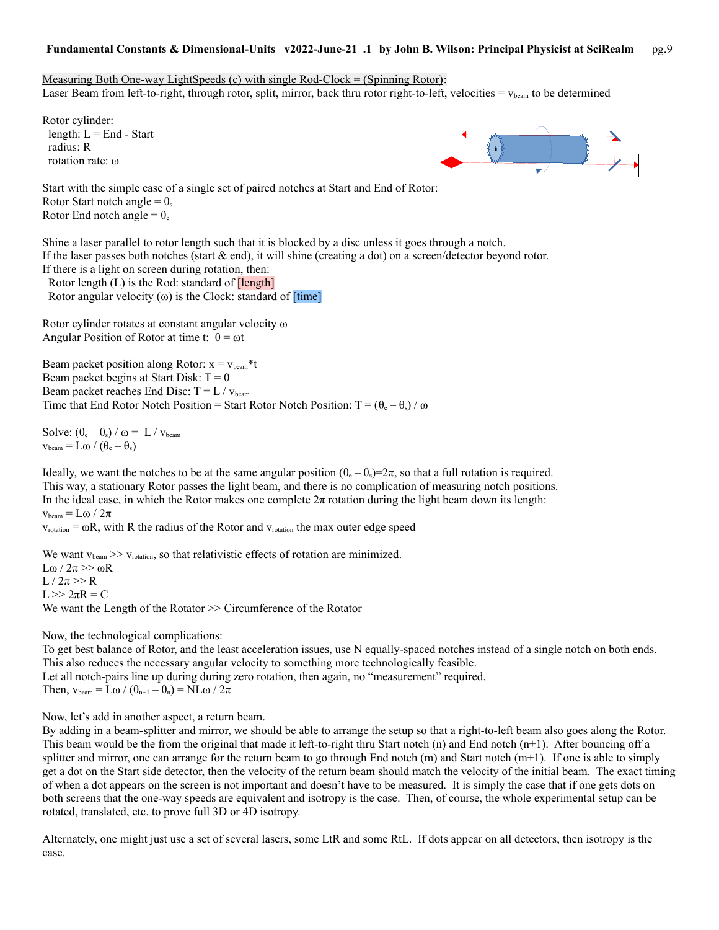Measuring Both One-way LightSpeeds  $(c)$  with single Rod-Clock = (Spinning Rotor): Laser Beam from left-to-right, through rotor, split, mirror, back thru rotor right-to-left, velocities  $= v_{\text{beam}}$  to be determined

Rotor cylinder: length:  $L =$  End - Start radius: R rotation rate: ω



Start with the simple case of a single set of paired notches at Start and End of Rotor: Rotor Start notch angle =  $\theta_s$ Rotor End notch angle =  $\theta_e$ 

Shine a laser parallel to rotor length such that it is blocked by a disc unless it goes through a notch. If the laser passes both notches (start & end), it will shine (creating a dot) on a screen/detector beyond rotor. If there is a light on screen during rotation, then: Rotor length  $(L)$  is the Rod: standard of  $[length]$ 

Rotor angular velocity  $(\omega)$  is the Clock: standard of  $[time]$ 

Rotor cylinder rotates at constant angular velocity ω Angular Position of Rotor at time t:  $\theta = \omega t$ 

Beam packet position along Rotor:  $x = v_{beam} * t$ Beam packet begins at Start Disk:  $T = 0$ Beam packet reaches End Disc:  $T = L / v_{beam}$ Time that End Rotor Notch Position = Start Rotor Notch Position:  $T = (\theta_e - \theta_s) / \omega$ 

Solve:  $(\theta_e - \theta_s) / \omega = L / v_{beam}$  $v_{\text{beam}} = L\omega / (\theta_{\text{e}} - \theta_{\text{s}})$ 

Ideally, we want the notches to be at the same angular position  $(\theta_e - \theta_s) = 2\pi$ , so that a full rotation is required. This way, a stationary Rotor passes the light beam, and there is no complication of measuring notch positions. In the ideal case, in which the Rotor makes one complete  $2\pi$  rotation during the light beam down its length:  $v_{\text{beam}} = L\omega / 2\pi$ 

 $v_{rotation} = \omega R$ , with R the radius of the Rotor and  $v_{rotation}$  the max outer edge speed

We want  $v_{\text{beam}} \gg v_{\text{rotation}}$ , so that relativistic effects of rotation are minimized. Lω / 2π >> ωR  $L / 2\pi >> R$  $L >> 2πR = C$ We want the Length of the Rotator  $\gg$  Circumference of the Rotator

Now, the technological complications:

To get best balance of Rotor, and the least acceleration issues, use N equally-spaced notches instead of a single notch on both ends. This also reduces the necessary angular velocity to something more technologically feasible. Let all notch-pairs line up during during zero rotation, then again, no "measurement" required. Then,  $v_{beam} = L\omega / (\theta_{n+1} - \theta_n) = NL\omega / 2\pi$ 

Now, let's add in another aspect, a return beam.

By adding in a beam-splitter and mirror, we should be able to arrange the setup so that a right-to-left beam also goes along the Rotor. This beam would be the from the original that made it left-to-right thru Start notch  $(n)$  and End notch  $(n+1)$ . After bouncing off a splitter and mirror, one can arrange for the return beam to go through End notch  $(m)$  and Start notch  $(m+1)$ . If one is able to simply get a dot on the Start side detector, then the velocity of the return beam should match the velocity of the initial beam. The exact timing of when a dot appears on the screen is not important and doesn't have to be measured. It is simply the case that if one gets dots on both screens that the one-way speeds are equivalent and isotropy is the case. Then, of course, the whole experimental setup can be rotated, translated, etc. to prove full 3D or 4D isotropy.

Alternately, one might just use a set of several lasers, some LtR and some RtL. If dots appear on all detectors, then isotropy is the case.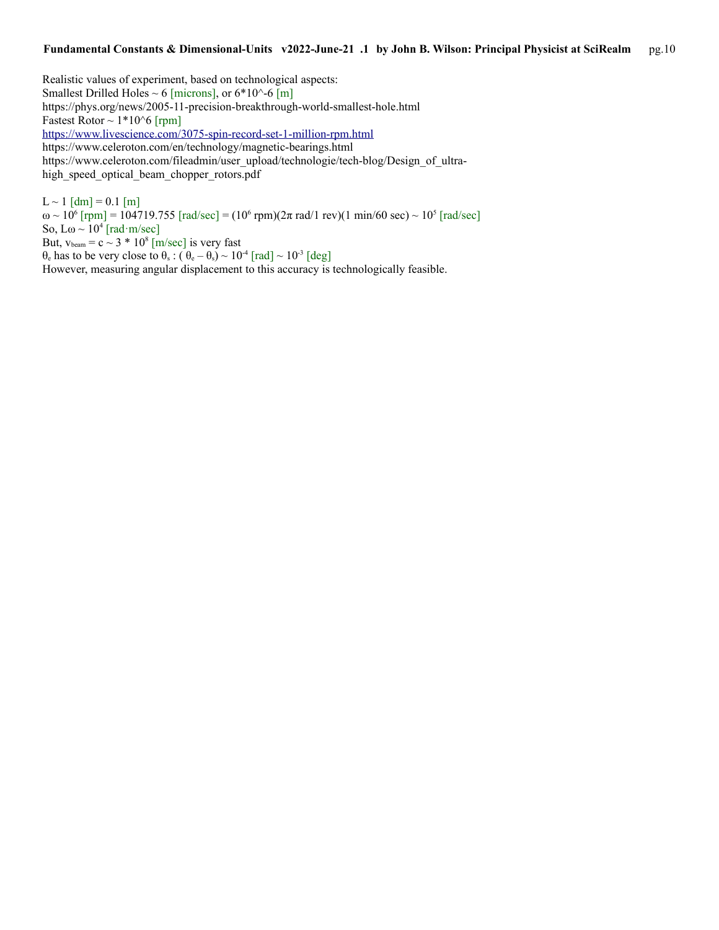Realistic values of experiment, based on technological aspects: Smallest Drilled Holes  $\sim 6$  [microns], or 6\*10^-6 [m] https://phys.org/news/2005-11-precision-breakthrough-world-smallest-hole.html Fastest Rotor  $\sim 1*10^6$  [rpm] <https://www.livescience.com/3075-spin-record-set-1-million-rpm.html> https://www.celeroton.com/en/technology/magnetic-bearings.html https://www.celeroton.com/fileadmin/user\_upload/technologie/tech-blog/Design\_of\_ultrahigh\_speed\_optical\_beam\_chopper\_rotors.pdf

 $L \sim 1$  [dm] = 0.1 [m] ω ~ 10<sup>6</sup> [rpm] = 104719.755 [rad/sec] = (10<sup>6</sup> rpm)(2π rad/1 rev)(1 min/60 sec) ~ 10<sup>5</sup> [rad/sec] So,  $\text{L}\omega \sim 10^4 \text{ [rad} \cdot \text{m/sec]}$ But,  $v_{\text{beam}} = c \sim 3$  \* 10<sup>8</sup> [m/sec] is very fast θ<sub>e</sub> has to be very close to θ<sub>s</sub>:  $(\theta_e - \theta_s) \sim 10^{-4}$  [rad]  $\sim 10^{-3}$  [deg] However, measuring angular displacement to this accuracy is technologically feasible.